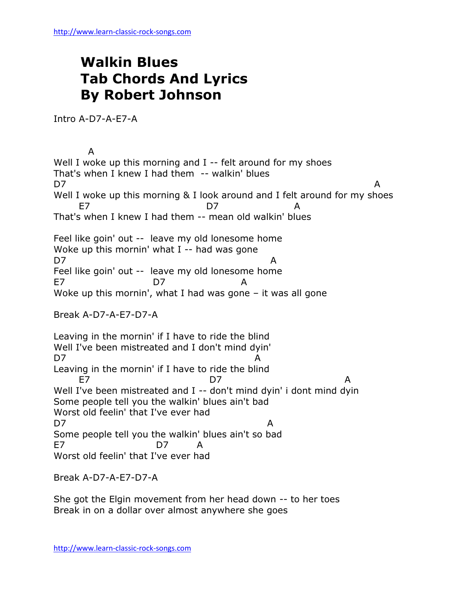## **Walkin Blues Tab Chords And Lyrics By Robert Johnson**

Intro A-D7-A-E7-A

 A Well I woke up this morning and I -- felt around for my shoes That's when I knew I had them -- walkin' blues D7 A Well I woke up this morning & I look around and I felt around for my shoes E7 D7 A That's when I knew I had them -- mean old walkin' blues Feel like goin' out -- leave my old lonesome home Woke up this mornin' what I -- had was gone D7 A Feel like goin' out -- leave my old lonesome home E7 D7 A Woke up this mornin', what I had was gone – it was all gone Break A-D7-A-E7-D7-A Leaving in the mornin' if I have to ride the blind Well I've been mistreated and I don't mind dyin' D7 A Leaving in the mornin' if I have to ride the blind E7 D7 A Well I've been mistreated and I -- don't mind dyin' i dont mind dyin Some people tell you the walkin' blues ain't bad Worst old feelin' that I've ever had D7 A Some people tell you the walkin' blues ain't so bad E7 D7 A Worst old feelin' that I've ever had

Break A-D7-A-E7-D7-A

She got the Elgin movement from her head down -- to her toes Break in on a dollar over almost anywhere she goes